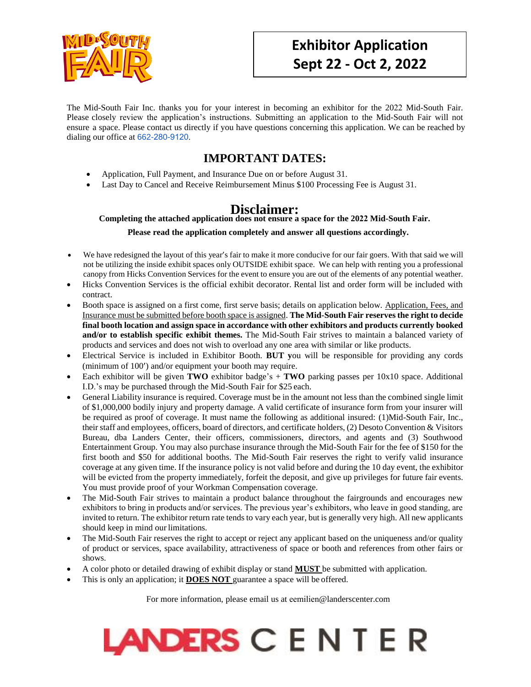

The Mid-South Fair Inc. thanks you for your interest in becoming an exhibitor for the 2022 Mid-South Fair. Please closely review the application's instructions. Submitting an application to the Mid-South Fair will not ensure a space. Please contact us directly if you have questions concerning this application. We can be reached by dialing our office at 662-280-[9120](tel:(662)%20470-2102).

### **IMPORTANT DATES:**

- Application, Full Payment, and Insurance Due on or before August 31.
- Last Day to Cancel and Receive Reimbursement Minus \$100 Processing Fee is August 31.

## **Disclaimer:**

#### **Completing the attached application does not ensure a space for the 2022 Mid-South Fair.**

#### **Please read the application completely and answer all questions accordingly.**

- We have redesigned the layout of this year's fair to make it more conducive for our fair goers. With that said we will not be utilizing the inside exhibit spaces only OUTSIDE exhibit space. We can help with renting you a professional canopy from Hicks Convention Services for the event to ensure you are out of the elements of any potential weather.
- Hicks Convention Services is the official exhibit decorator. Rental list and order form will be included with contract.
- Booth space is assigned on a first come, first serve basis; details on application below. Application, Fees, and Insurance must be submitted before booth space is assigned. **The Mid-South Fair reserves the right to decide final booth location and assign space in accordance with other exhibitors and products currently booked and/or to establish specific exhibit themes.** The Mid-South Fair strives to maintain a balanced variety of products and services and does not wish to overload any one area with similar or like products.
- Electrical Service is included in Exhibitor Booth. **BUT y**ou will be responsible for providing any cords (minimum of 100') and/or equipment your booth may require.
- Each exhibitor will be given **TWO** exhibitor badge's + **TWO** parking passes per 10x10 space. Additional I.D.'s may be purchased through the Mid-South Fair for \$25 each.
- General Liability insurance is required. Coverage must be in the amount not less than the combined single limit of \$1,000,000 bodily injury and property damage. A valid certificate of insurance form from your insurer will be required as proof of coverage. It must name the following as additional insured: (1)Mid-South Fair, Inc., their staff and employees, officers, board of directors, and certificate holders, (2) Desoto Convention & Visitors Bureau, dba Landers Center, their officers, commissioners, directors, and agents and (3) Southwood Entertainment Group. You may also purchase insurance through the Mid-South Fair for the fee of \$150 for the first booth and \$50 for additional booths. The Mid-South Fair reserves the right to verify valid insurance coverage at any given time. If the insurance policy is not valid before and during the 10 day event, the exhibitor will be evicted from the property immediately, forfeit the deposit, and give up privileges for future fair events. You must provide proof of your Workman Compensation coverage.
- The Mid-South Fair strives to maintain a product balance throughout the fairgrounds and encourages new exhibitors to bring in products and/or services. The previous year's exhibitors, who leave in good standing, are invited to return. The exhibitor return rate tends to vary each year, but is generally very high. All new applicants should keep in mind our limitations.
- The Mid-South Fair reserves the right to accept or reject any applicant based on the uniqueness and/or quality of product or services, space availability, attractiveness of space or booth and references from other fairs or shows.
- A color photo or detailed drawing of exhibit display or stand **MUST** be submitted with application.
- This is only an application; it **DOES NOT** guarantee a space will be offered.

For more information, please email us at eemilien@landerscenter.com

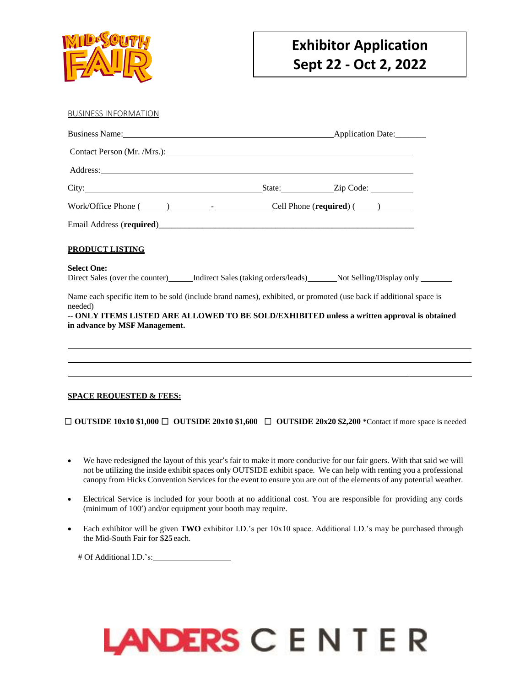

| <b>BUSINESS INFORMATION</b>                                                                                                      |                                           |                                                                                             |  |  |
|----------------------------------------------------------------------------------------------------------------------------------|-------------------------------------------|---------------------------------------------------------------------------------------------|--|--|
|                                                                                                                                  |                                           |                                                                                             |  |  |
|                                                                                                                                  |                                           |                                                                                             |  |  |
|                                                                                                                                  |                                           |                                                                                             |  |  |
|                                                                                                                                  |                                           |                                                                                             |  |  |
|                                                                                                                                  | Work/Office Phone $(\_\_\_\_\_\_\_\_\_$ . |                                                                                             |  |  |
| Email Address (required)<br><u>Email Address (required</u> )                                                                     |                                           |                                                                                             |  |  |
| <b>PRODUCT LISTING</b>                                                                                                           |                                           |                                                                                             |  |  |
| <b>Select One:</b><br>Direct Sales (over the counter) [Indirect Sales (taking orders/leads) Not Selling/Display only ___________ |                                           |                                                                                             |  |  |
|                                                                                                                                  |                                           |                                                                                             |  |  |
| Name each specific item to be sold (include brand names), exhibited, or promoted (use back if additional space is<br>needed)     |                                           |                                                                                             |  |  |
| in advance by MSF Management.                                                                                                    |                                           | -- ONLY ITEMS LISTED ARE ALLOWED TO BE SOLD/EXHIBITED unless a written approval is obtained |  |  |
|                                                                                                                                  |                                           |                                                                                             |  |  |
|                                                                                                                                  |                                           |                                                                                             |  |  |
|                                                                                                                                  |                                           |                                                                                             |  |  |
|                                                                                                                                  |                                           |                                                                                             |  |  |

#### **SPACE REQUESTED & FEES:**

□ **OUTSIDE 10x10 \$1,000** □ **OUTSIDE 20x10 \$1,600** □ **OUTSIDE 20x20 \$2,200** \*Contact if more space is needed

- We have redesigned the layout of this year's fair to make it more conducive for our fair goers. With that said we will not be utilizing the inside exhibit spaces only OUTSIDE exhibit space. We can help with renting you a professional canopy from Hicks Convention Services for the event to ensure you are out of the elements of any potential weather.
- Electrical Service is included for your booth at no additional cost. You are responsible for providing any cords (minimum of 100') and/or equipment your booth may require.
- Each exhibitor will be given **TWO** exhibitor I.D.'s per 10x10 space. Additional I.D.'s may be purchased through the Mid-South Fair for \$**25** each.

# Of Additional I.D.'s:

# LANDERS CENTER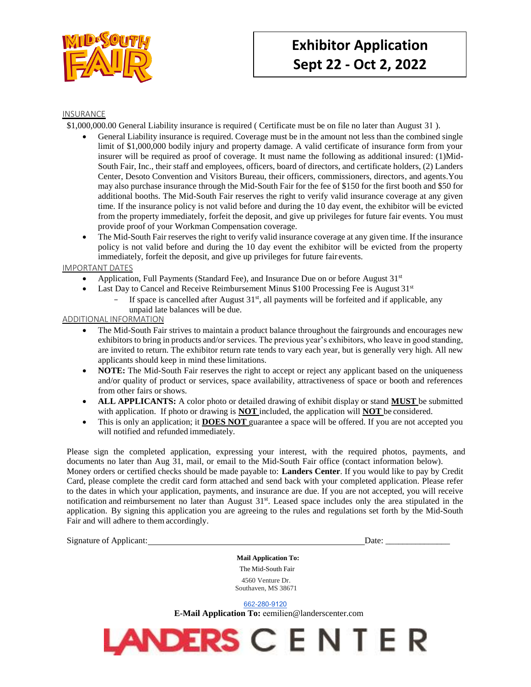

#### INSURANCE

\$1,000,000.00 General Liability insurance is required ( Certificate must be on file no later than August 31 ).

- General Liability insurance is required. Coverage must be in the amount not less than the combined single limit of \$1,000,000 bodily injury and property damage. A valid certificate of insurance form from your insurer will be required as proof of coverage. It must name the following as additional insured: (1)Mid-South Fair, Inc., their staff and employees, officers, board of directors, and certificate holders, (2) Landers Center, Desoto Convention and Visitors Bureau, their officers, commissioners, directors, and agents.You may also purchase insurance through the Mid-South Fair for the fee of \$150 for the first booth and \$50 for additional booths. The Mid-South Fair reserves the right to verify valid insurance coverage at any given time. If the insurance policy is not valid before and during the 10 day event, the exhibitor will be evicted from the property immediately, forfeit the deposit, and give up privileges for future fair events. You must provide proof of your Workman Compensation coverage.
- The Mid-South Fair reserves the right to verify valid insurance coverage at any given time. If the insurance policy is not valid before and during the 10 day event the exhibitor will be evicted from the property immediately, forfeit the deposit, and give up privileges for future fair events.

IMPORTANT DATES

- Application, Full Payments (Standard Fee), and Insurance Due on or before August  $31<sup>st</sup>$
- Last Day to Cancel and Receive Reimbursement Minus  $$100$  Processing Fee is August  $31<sup>st</sup>$ 
	- If space is cancelled after August  $31<sup>st</sup>$ , all payments will be forfeited and if applicable, any unpaid late balances will be due.

#### ADDITIONAL INFORMATION

- The Mid-South Fair strives to maintain a product balance throughout the fairgrounds and encourages new exhibitors to bring in products and/or services. The previous year's exhibitors, who leave in good standing, are invited to return. The exhibitor return rate tends to vary each year, but is generally very high. All new applicants should keep in mind these limitations.
- **NOTE:** The Mid-South Fair reserves the right to accept or reject any applicant based on the uniqueness and/or quality of product or services, space availability, attractiveness of space or booth and references from other fairs or shows.
- **ALL APPLICANTS:** A color photo or detailed drawing of exhibit display or stand **MUST** be submitted with application. If photo or drawing is **NOT** included, the application will **NOT** be considered.
- This is only an application; it **DOES NOT** guarantee a space will be offered. If you are not accepted you will notified and refunded immediately.

Please sign the completed application, expressing your interest, with the required photos, payments, and documents no later than Aug 31, mail, or email to the Mid-South Fair office (contact information below). Money orders or certified checks should be made payable to: **Landers Center**. If you would like to pay by Credit Card, please complete the credit card form attached and send back with your completed application. Please refer to the dates in which your application, payments, and insurance are due. If you are not accepted, you will receive notification and reimbursement no later than August 31<sup>st</sup>. Leased space includes only the area stipulated in the application. By signing this application you are agreeing to the rules and regulations set forth by the Mid-South Fair and will adhere to them accordingly.

Signature of Applicant:  $\Box$ 

**Mail Application To:**  The Mid-South Fair 4560 Venture Dr. Southaven, MS 38671

662-280-[9120](tel:(662)%20470-2102)

**E-Mail Application To:** eemilien@landerscenter.com

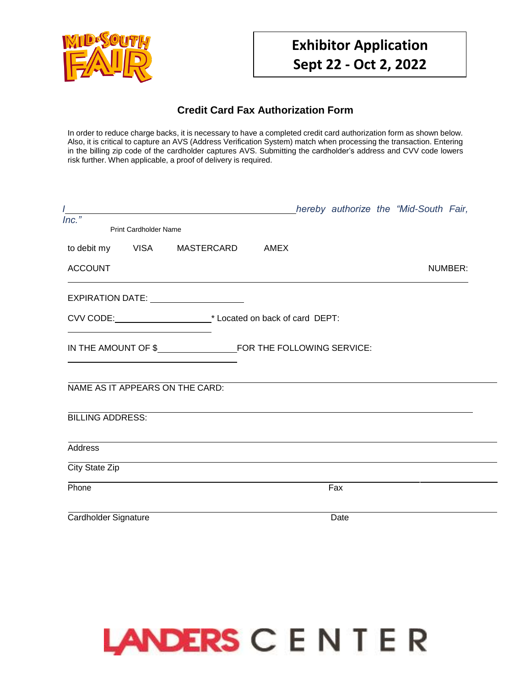

### **Credit Card Fax Authorization Form**

In order to reduce charge backs, it is necessary to have a completed credit card authorization form as shown below. Also, it is critical to capture an AVS (Address Verification System) match when processing the transaction. Entering in the billing zip code of the cardholder captures AVS. Submitting the cardholder's address and CVV code lowers risk further. When applicable, a proof of delivery is required.

| $Inc.$ "                                              |  |      | hereby authorize the "Mid-South Fair, |  |
|-------------------------------------------------------|--|------|---------------------------------------|--|
| <b>Print Cardholder Name</b>                          |  |      |                                       |  |
| to debit my    VISA    MASTERCARD    AMEX             |  |      |                                       |  |
| <b>ACCOUNT</b>                                        |  |      | NUMBER:                               |  |
| EXPIRATION DATE: ____________________                 |  |      |                                       |  |
| CVV CODE: <u>CVV CODE:</u> CVV CODE: <b>CVV</b> CODE: |  |      |                                       |  |
|                                                       |  |      |                                       |  |
| NAME AS IT APPEARS ON THE CARD:                       |  |      |                                       |  |
| <b>BILLING ADDRESS:</b>                               |  |      |                                       |  |
| Address                                               |  |      |                                       |  |
| City State Zip                                        |  |      |                                       |  |
| Phone                                                 |  | Fax  |                                       |  |
| Cardholder Signature                                  |  | Date |                                       |  |

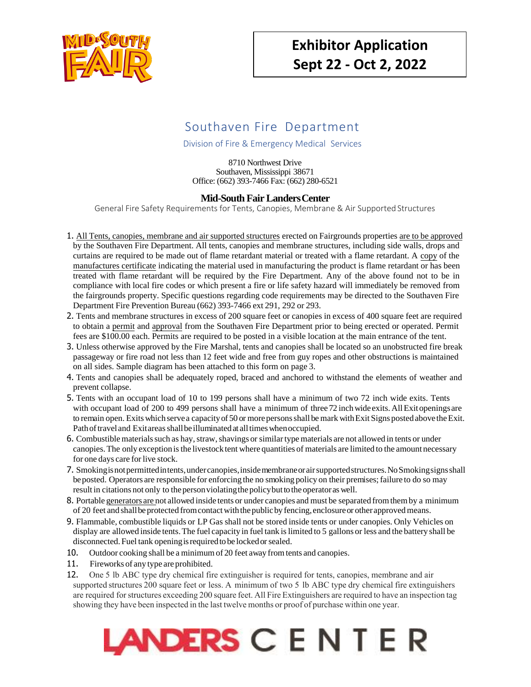

## Southaven Fire Department

Division of Fire & Emergency Medical Services

8710 Northwest Drive Southaven, Mississippi 38671 Office: (662) 393-7466 Fax: (662) 280-6521

#### **Mid-South Fair LandersCenter**

General Fire Safety Requirements for Tents, Canopies, Membrane & Air Supported Structures

- 1. All Tents, canopies, membrane and air supported structures erected on Fairgrounds properties are to be approved by the Southaven Fire Department. All tents, canopies and membrane structures, including side walls, drops and curtains are required to be made out of flame retardant material or treated with a flame retardant. A copy of the manufactures certificate indicating the material used in manufacturing the product is flame retardant or has been treated with flame retardant will be required by the Fire Department. Any of the above found not to be in compliance with local fire codes or which present a fire or life safety hazard will immediately be removed from the fairgrounds property. Specific questions regarding code requirements may be directed to the Southaven Fire Department Fire Prevention Bureau (662) 393-7466 ext 291, 292 or 293.
- 2. Tents and membrane structures in excess of 200 square feet or canopies in excess of 400 square feet are required to obtain a permit and approval from the Southaven Fire Department prior to being erected or operated. Permit fees are \$100.00 each. Permits are required to be posted in a visible location at the main entrance of the tent.
- 3. Unless otherwise approved by the Fire Marshal, tents and canopies shall be located so an unobstructed fire break passageway or fire road not less than 12 feet wide and free from guy ropes and other obstructions is maintained on all sides. Sample diagram has been attached to this form on page 3.
- 4. Tents and canopies shall be adequately roped, braced and anchored to withstand the elements of weather and prevent collapse.
- 5. Tents with an occupant load of 10 to 199 persons shall have a minimum of two 72 inch wide exits. Tents with occupant load of 200 to 499 persons shall have a minimum of three 72 inch wide exits. All Exit openings are to remain open. Exits which serve a capacity of 50 or more persons shall be mark with Exit Signs posted above the Exit. Path of travel and Exit areas shall be illuminated at all times when occupied.
- 6. Combustible materials such as hay, straw, shavings or similar type materials are not allowed in tents or under canopies. The only exception is the livestock tent where quantities of materials are limited to the amount necessary for one days care for live stock.
- 7. Smoking isnot permitted intents, under canopies, inside membrane orair supported structures. NoSmoking signs shall beposted. Operators are responsible for enforcing the no smoking policy on their premises; failure to do so may result in citations not only to the person violating the policy but to the operator as well.
- 8. Portable generators are not allowed inside tents or under canopies and must be separated from them by a minimum of 20 feet and shall be protected from contact with the public by fencing, enclosure or other approved means.
- 9. Flammable, combustible liquids or LP Gas shall not be stored inside tents or under canopies. Only Vehicles on display are allowed inside tents. The fuel capacity in fuel tank is limited to 5 gallons or less and the battery shall be disconnected. Fuel tank opening isrequired to be locked orsealed.
- 10. Outdoor cooking shall be a minimum of 20 feet away from tents and canopies.
- 11. Fireworks of any type are prohibited.
- 12. One 5 lb ABC type dry chemical fire extinguisher is required for tents, canopies, membrane and air supported structures 200 square feet or less. A minimum of two 5 lb ABC type dry chemical fire extinguishers are required for structures exceeding 200 square feet. All Fire Extinguishers are required to have an inspection tag showing they have been inspected in the last twelve months or proof of purchase within one year.

# LANDERS C E N T E R